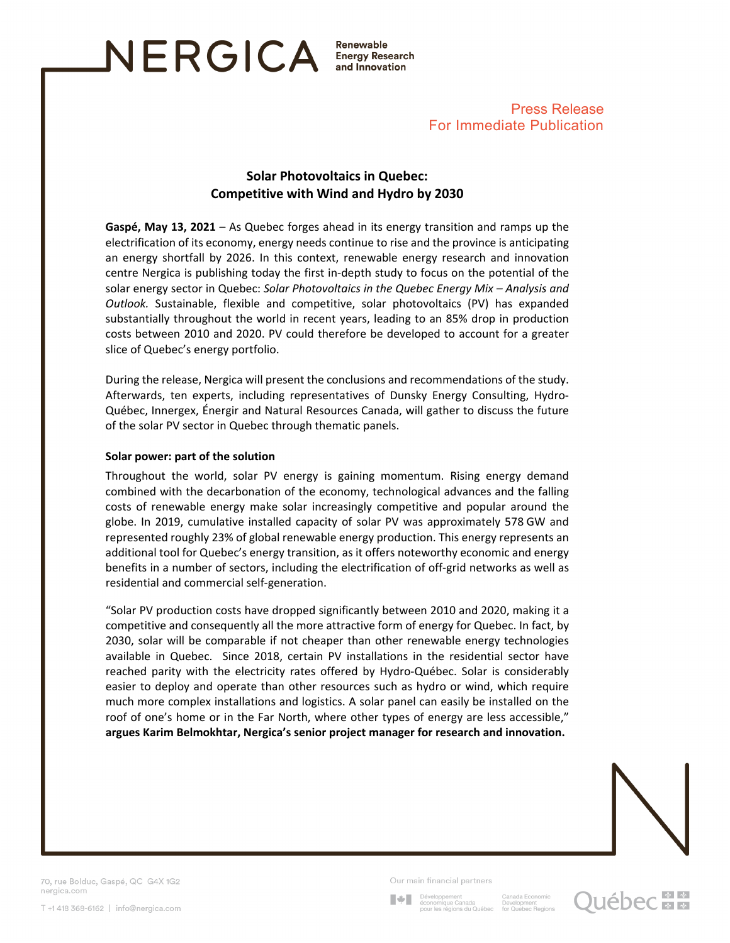# NERGICA

Renewable **Energy Research** and Innovation

> Press Release For Immediate Publication

# **Solar Photovoltaics in Quebec: Competitive with Wind and Hydro by 2030**

**Gaspé, May 13, 2021** – As Quebec forges ahead in its energy transition and ramps up the electrification of its economy, energy needs continue to rise and the province is anticipating an energy shortfall by 2026. In this context, renewable energy research and innovation centre Nergica is publishing today the first in-depth study to focus on the potential of the solar energy sector in Quebec: *Solar Photovoltaics in the Quebec Energy Mix – Analysis and Outlook.* Sustainable, flexible and competitive, solar photovoltaics (PV) has expanded substantially throughout the world in recent years, leading to an 85% drop in production costs between 2010 and 2020. PV could therefore be developed to account for a greater slice of Quebec's energy portfolio.

During the release, Nergica will present the conclusions and recommendations of the study. Afterwards, ten experts, including representatives of Dunsky Energy Consulting, Hydro-Québec, Innergex, Énergir and Natural Resources Canada, will gather to discuss the future of the solar PV sector in Quebec through thematic panels.

## **Solar power: part of the solution**

Throughout the world, solar PV energy is gaining momentum. Rising energy demand combined with the decarbonation of the economy, technological advances and the falling costs of renewable energy make solar increasingly competitive and popular around the globe. In 2019, cumulative installed capacity of solar PV was approximately 578 GW and represented roughly 23% of global renewable energy production. This energy represents an additional tool for Quebec's energy transition, as it offers noteworthy economic and energy benefits in a number of sectors, including the electrification of off-grid networks as well as residential and commercial self-generation.

"Solar PV production costs have dropped significantly between 2010 and 2020, making it a competitive and consequently all the more attractive form of energy for Quebec. In fact, by 2030, solar will be comparable if not cheaper than other renewable energy technologies available in Quebec. Since 2018, certain PV installations in the residential sector have reached parity with the electricity rates offered by Hydro-Québec. Solar is considerably easier to deploy and operate than other resources such as hydro or wind, which require much more complex installations and logistics. A solar panel can easily be installed on the roof of one's home or in the Far North, where other types of energy are less accessible," **argues Karim Belmokhtar, Nergica's senior project manager for research and innovation.**



70, rue Bolduc, Gaspé, QC G4X 1G2 nergica.com

Our main financial partners

 $\blacksquare \div \blacksquare$ 

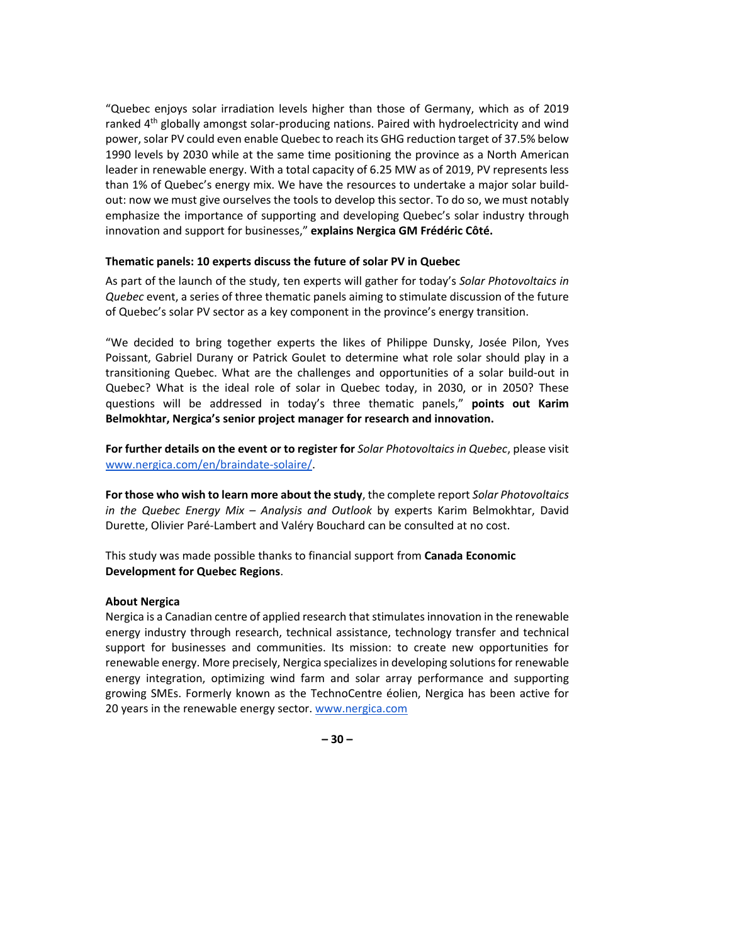"Quebec enjoys solar irradiation levels higher than those of Germany, which as of 2019 ranked 4<sup>th</sup> globally amongst solar-producing nations. Paired with hydroelectricity and wind power, solar PV could even enable Quebec to reach its GHG reduction target of 37.5% below 1990 levels by 2030 while at the same time positioning the province as a North American leader in renewable energy. With a total capacity of 6.25 MW as of 2019, PV represents less than 1% of Quebec's energy mix. We have the resources to undertake a major solar buildout: now we must give ourselves the tools to develop this sector. To do so, we must notably emphasize the importance of supporting and developing Quebec's solar industry through innovation and support for businesses," **explains Nergica GM Frédéric Côté.** 

### **Thematic panels: 10 experts discuss the future of solar PV in Quebec**

As part of the launch of the study, ten experts will gather for today's *Solar Photovoltaics in Quebec* event, a series of three thematic panels aiming to stimulate discussion of the future of Quebec's solar PV sector as a key component in the province's energy transition.

"We decided to bring together experts the likes of Philippe Dunsky, Josée Pilon, Yves Poissant, Gabriel Durany or Patrick Goulet to determine what role solar should play in a transitioning Quebec. What are the challenges and opportunities of a solar build-out in Quebec? What is the ideal role of solar in Quebec today, in 2030, or in 2050? These questions will be addressed in today's three thematic panels," **points out Karim Belmokhtar, Nergica's senior project manager for research and innovation.**

**For further details on the event or to register for** *Solar Photovoltaics in Quebec*, please visi[t](https://nergica.com/en/braindate-solaire/)  [www.nergica.com/en/braindate-solaire/.](https://nergica.com/en/braindate-solaire/)

**For those who wish to learn more about the study**, the complete report *Solar Photovoltaics in the Quebec Energy Mix – Analysis and Outlook* by experts Karim Belmokhtar, David Durette, Olivier Paré-Lambert and Valéry Bouchard can be consulted at no cost.

This study was made possible thanks to financial support from **Canada Economic Development for Quebec Regions**.

### **About Nergica**

Nergica is a Canadian centre of applied research that stimulates innovation in the renewable energy industry through research, technical assistance, technology transfer and technical support for businesses and communities. Its mission: to create new opportunities for renewable energy. More precisely, Nergica specializes in developing solutions for renewable energy integration, optimizing wind farm and solar array performance and supporting growing SMEs. Formerly known as the TechnoCentre éolien, Nergica has been active for 20 years in the renewable energy sector. [www.nergica.com](http://www.nergica.com/)

**– 30 –**